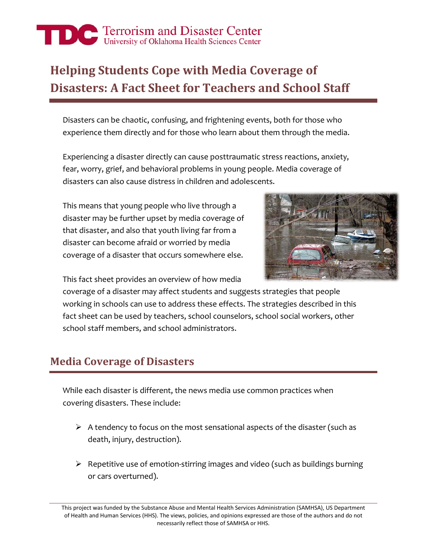# The Terrorism and Disaster Center

## **Helping Students Cope with Media Coverage of Disasters: A Fact Sheet for Teachers and School Staff**

Disasters can be chaotic, confusing, and frightening events, both for those who experience them directly and for those who learn about them through the media.

Experiencing a disaster directly can cause posttraumatic stress reactions, anxiety, fear, worry, grief, and behavioral problems in young people. Media coverage of disasters can also cause distress in children and adolescents.

This means that young people who live through a disaster may be further upset by media coverage of that disaster, and also that youth living far from a disaster can become afraid or worried by media coverage of a disaster that occurs somewhere else.



This fact sheet provides an overview of how media

coverage of a disaster may affect students and suggests strategies that people working in schools can use to address these effects. The strategies described in this fact sheet can be used by teachers, school counselors, school social workers, other school staff members, and school administrators.

#### **Media Coverage of Disasters**

While each disaster is different, the news media use common practices when covering disasters. These include:

- $\triangleright$  A tendency to focus on the most sensational aspects of the disaster (such as death, injury, destruction).
- $\triangleright$  Repetitive use of emotion-stirring images and video (such as buildings burning or cars overturned).

This project was funded by the Substance Abuse and Mental Health Services Administration (SAMHSA), US Department of Health and Human Services (HHS). The views, policies, and opinions expressed are those of the authors and do not necessarily reflect those of SAMHSA or HHS.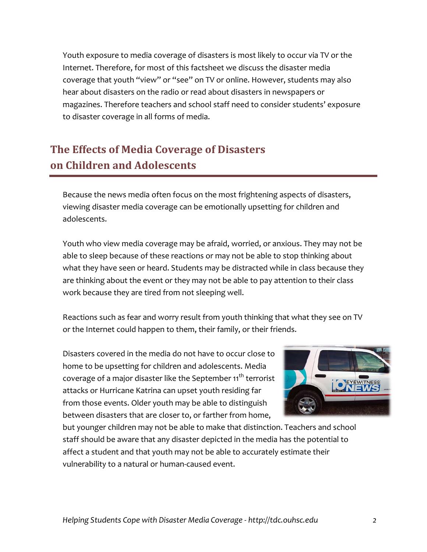Youth exposure to media coverage of disasters is most likely to occur via TV or the Internet. Therefore, for most of this factsheet we discuss the disaster media coverage that youth "view" or "see" on TV or online. However, students may also hear about disasters on the radio or read about disasters in newspapers or magazines. Therefore teachers and school staff need to consider students' exposure to disaster coverage in all forms of media.

## **The Effects of Media Coverage of Disasters on Children and Adolescents**

Because the news media often focus on the most frightening aspects of disasters, viewing disaster media coverage can be emotionally upsetting for children and adolescents.

Youth who view media coverage may be afraid, worried, or anxious. They may not be able to sleep because of these reactions or may not be able to stop thinking about what they have seen or heard. Students may be distracted while in class because they are thinking about the event or they may not be able to pay attention to their class work because they are tired from not sleeping well.

Reactions such as fear and worry result from youth thinking that what they see on TV or the Internet could happen to them, their family, or their friends.

Disasters covered in the media do not have to occur close to home to be upsetting for children and adolescents. Media coverage of a major disaster like the September 11<sup>th</sup> terrorist attacks or Hurricane Katrina can upset youth residing far from those events. Older youth may be able to distinguish between disasters that are closer to, or farther from home,



but younger children may not be able to make that distinction. Teachers and school staff should be aware that any disaster depicted in the media has the potential to affect a student and that youth may not be able to accurately estimate their vulnerability to a natural or human-caused event.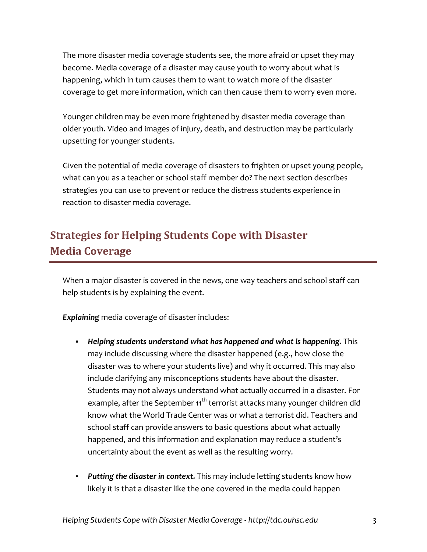The more disaster media coverage students see, the more afraid or upset they may become. Media coverage of a disaster may cause youth to worry about what is happening, which in turn causes them to want to watch more of the disaster coverage to get more information, which can then cause them to worry even more.

Younger children may be even more frightened by disaster media coverage than older youth. Video and images of injury, death, and destruction may be particularly upsetting for younger students.

Given the potential of media coverage of disasters to frighten or upset young people, what can you as a teacher or school staff member do? The next section describes strategies you can use to prevent or reduce the distress students experience in reaction to disaster media coverage.

## **Strategies for Helping Students Cope with Disaster Media Coverage**

When a major disaster is covered in the news, one way teachers and school staff can help students is by explaining the event.

*Explaining* media coverage of disaster includes:

- *Helping students understand what has happened and what is happening.* This may include discussing where the disaster happened (e.g., how close the disaster was to where your students live) and why it occurred. This may also include clarifying any misconceptions students have about the disaster. Students may not always understand what actually occurred in a disaster. For example, after the September  $11^{th}$  terrorist attacks many younger children did know what the World Trade Center was or what a terrorist did. Teachers and school staff can provide answers to basic questions about what actually happened, and this information and explanation may reduce a student's uncertainty about the event as well as the resulting worry.
- *Putting the disaster in context.* This may include letting students know how likely it is that a disaster like the one covered in the media could happen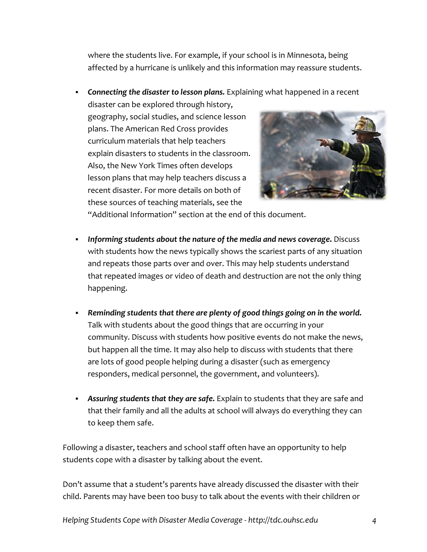where the students live. For example, if your school is in Minnesota, being affected by a hurricane is unlikely and this information may reassure students.

*Connecting the disaster to lesson plans.* Explaining what happened in a recent

disaster can be explored through history, geography, social studies, and science lesson plans. The American Red Cross provides curriculum materials that help teachers explain disasters to students in the classroom. Also, the New York Times often develops lesson plans that may help teachers discuss a recent disaster. For more details on both of these sources of teaching materials, see the



"Additional Information" section at the end of this document.

- *Informing students about the nature of the media and news coverage***.** Discuss with students how the news typically shows the scariest parts of any situation and repeats those parts over and over. This may help students understand that repeated images or video of death and destruction are not the only thing happening.
- *Reminding students that there are plenty of good things going on in the world.* Talk with students about the good things that are occurring in your community. Discuss with students how positive events do not make the news, but happen all the time. It may also help to discuss with students that there are lots of good people helping during a disaster (such as emergency responders, medical personnel, the government, and volunteers).
- *Assuring students that they are safe.* Explain to students that they are safe and that their family and all the adults at school will always do everything they can to keep them safe.

Following a disaster, teachers and school staff often have an opportunity to help students cope with a disaster by talking about the event.

Don't assume that a student's parents have already discussed the disaster with their child. Parents may have been too busy to talk about the events with their children or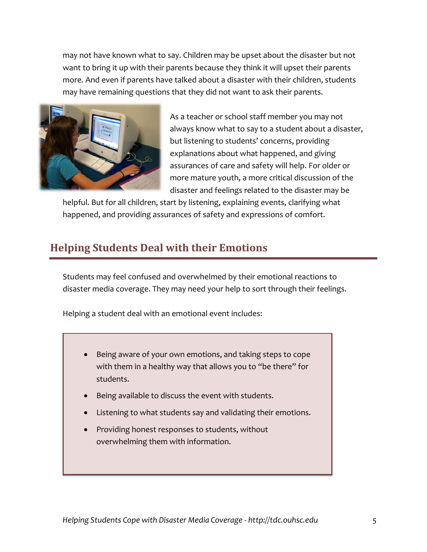may not have known what to say. Children may be upset about the disaster but not want to bring it up with their parents because they think it will upset their parents more. And even if parents have talked about a disaster with their children, students may have remaining questions that they did not want to ask their parents.



As a teacher or school staff member you may not always know what to say to a student about a disaster, but listening to students' concerns, providing explanations about what happened, and giving assurances of care and safety will help. For older or more mature youth, a more critical discussion of the disaster and feelings related to the disaster may be

helpful. But for all children, start by listening, explaining events, clarifying what happened, and providing assurances of safety and expressions of comfort.

#### **Helping Students Deal with their Emotions**

Students may feel confused and overwhelmed by their emotional reactions to disaster media coverage. They may need your help to sort through their feelings.

Helping a student deal with an emotional event includes:

- Being aware of your own emotions, and taking steps to cope with them in a healthy way that allows you to "be there" for students.
- Being available to discuss the event with students.
- Listening to what students say and validating their emotions.
- Providing honest responses to students, without overwhelming them with information.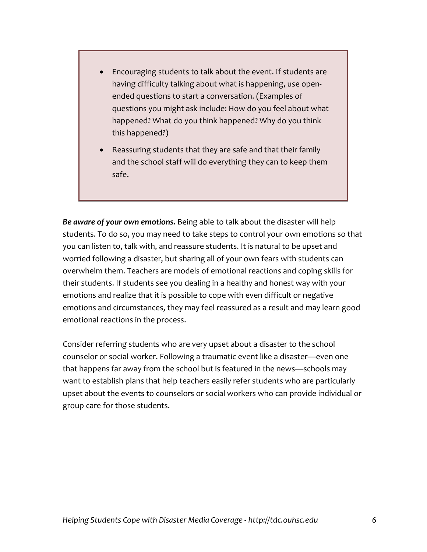- Encouraging students to talk about the event. If students are having difficulty talking about what is happening, use openended questions to start a conversation. (Examples of questions you might ask include: How do you feel about what happened? What do you think happened? Why do you think this happened?)
- Reassuring students that they are safe and that their family and the school staff will do everything they can to keep them safe.

*Be aware of your own emotions.* Being able to talk about the disaster will help students. To do so, you may need to take steps to control your own emotions so that you can listen to, talk with, and reassure students. It is natural to be upset and worried following a disaster, but sharing all of your own fears with students can overwhelm them. Teachers are models of emotional reactions and coping skills for their students. If students see you dealing in a healthy and honest way with your emotions and realize that it is possible to cope with even difficult or negative emotions and circumstances, they may feel reassured as a result and may learn good emotional reactions in the process.

Consider referring students who are very upset about a disaster to the school counselor or social worker. Following a traumatic event like a disaster—even one that happens far away from the school but is featured in the news—schools may want to establish plans that help teachers easily refer students who are particularly upset about the events to counselors or social workers who can provide individual or group care for those students.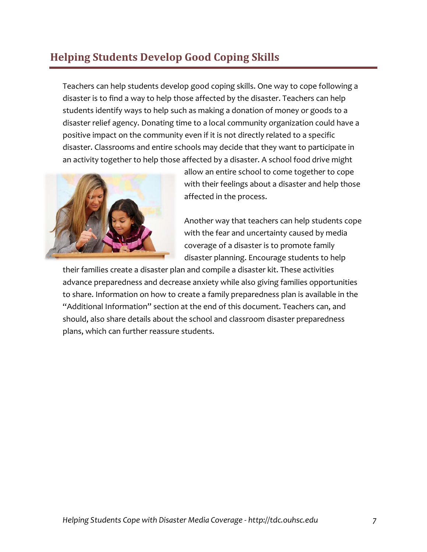### **Helping Students Develop Good Coping Skills**

Teachers can help students develop good coping skills. One way to cope following a disaster is to find a way to help those affected by the disaster. Teachers can help students identify ways to help such as making a donation of money or goods to a disaster relief agency. Donating time to a local community organization could have a positive impact on the community even if it is not directly related to a specific disaster. Classrooms and entire schools may decide that they want to participate in an activity together to help those affected by a disaster. A school food drive might



allow an entire school to come together to cope with their feelings about a disaster and help those affected in the process.

Another way that teachers can help students cope with the fear and uncertainty caused by media coverage of a disaster is to promote family disaster planning. Encourage students to help

their families create a disaster plan and compile a disaster kit. These activities advance preparedness and decrease anxiety while also giving families opportunities to share. Information on how to create a family preparedness plan is available in the "Additional Information" section at the end of this document. Teachers can, and should, also share details about the school and classroom disaster preparedness plans, which can further reassure students.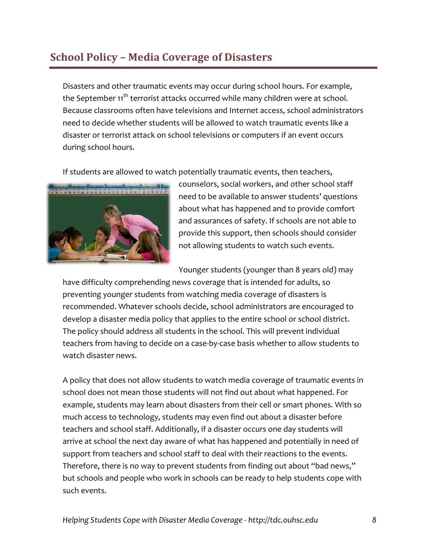#### **School Policy – Media Coverage of Disasters**

Disasters and other traumatic events may occur during school hours. For example, the September 11<sup>th</sup> terrorist attacks occurred while many children were at school. Because classrooms often have televisions and Internet access, school administrators need to decide whether students will be allowed to watch traumatic events like a disaster or terrorist attack on school televisions or computers if an event occurs during school hours.

If students are allowed to watch potentially traumatic events, then teachers,



counselors, social workers, and other school staff need to be available to answer students' questions about what has happened and to provide comfort and assurances of safety. If schools are not able to provide this support, then schools should consider not allowing students to watch such events.

Younger students (younger than 8 years old) may

have difficulty comprehending news coverage that is intended for adults, so preventing younger students from watching media coverage of disasters is recommended. Whatever schools decide, school administrators are encouraged to develop a disaster media policy that applies to the entire school or school district. The policy should address all students in the school. This will prevent individual teachers from having to decide on a case-by-case basis whether to allow students to watch disaster news.

A policy that does not allow students to watch media coverage of traumatic events in school does not mean those students will not find out about what happened. For example, students may learn about disasters from their cell or smart phones. With so much access to technology, students may even find out about a disaster before teachers and school staff. Additionally, if a disaster occurs one day students will arrive at school the next day aware of what has happened and potentially in need of support from teachers and school staff to deal with their reactions to the events. Therefore, there is no way to prevent students from finding out about "bad news," but schools and people who work in schools can be ready to help students cope with such events.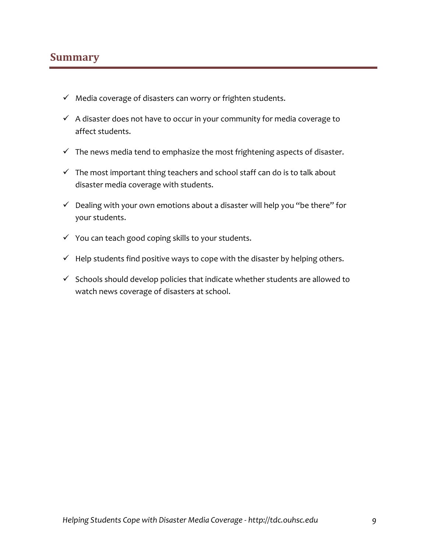#### **Summary**

- $\checkmark$  Media coverage of disasters can worry or frighten students.
- $\checkmark$  A disaster does not have to occur in your community for media coverage to affect students.
- $\checkmark$  The news media tend to emphasize the most frightening aspects of disaster.
- $\checkmark$  The most important thing teachers and school staff can do is to talk about disaster media coverage with students.
- $\checkmark$  Dealing with your own emotions about a disaster will help you "be there" for your students.
- $\checkmark$  You can teach good coping skills to your students.
- $\checkmark$  Help students find positive ways to cope with the disaster by helping others.
- $\checkmark$  Schools should develop policies that indicate whether students are allowed to watch news coverage of disasters at school.